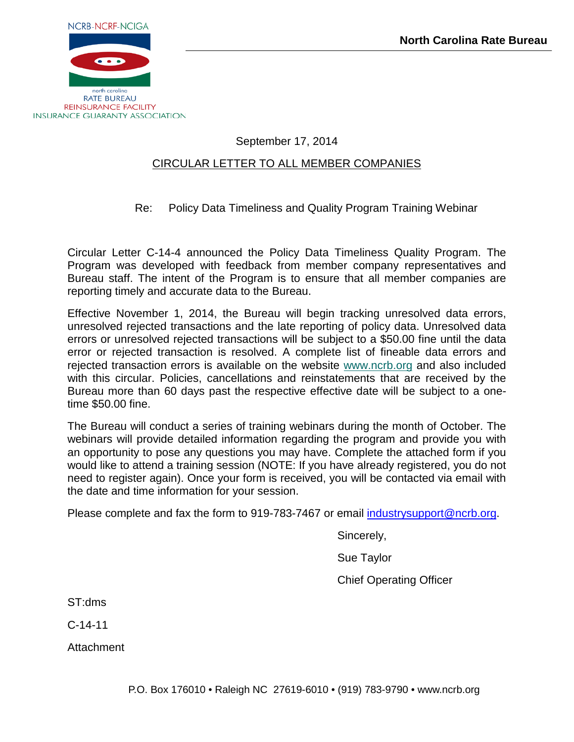

## September 17, 2014

### CIRCULAR LETTER TO ALL MEMBER COMPANIES

## Re: Policy Data Timeliness and Quality Program Training Webinar

Circular Letter C-14-4 announced the Policy Data Timeliness Quality Program. The Program was developed with feedback from member company representatives and Bureau staff. The intent of the Program is to ensure that all member companies are reporting timely and accurate data to the Bureau.

Effective November 1, 2014, the Bureau will begin tracking unresolved data errors, unresolved rejected transactions and the late reporting of policy data. Unresolved data errors or unresolved rejected transactions will be subject to a \$50.00 fine until the data error or rejected transaction is resolved. A complete list of fineable data errors and rejected transaction errors is available on the website [www.ncrb.org](http://www.ncrb.org/Portals/0/ncrb/workers%20comp%20services/publications/092914%20Policy%20Data%20Timeliness%20and%20Quality%20Fineable%20Rejected%20Transaction%20Errors.pdf) and also included with this circular. Policies, cancellations and reinstatements that are received by the Bureau more than 60 days past the respective effective date will be subject to a onetime \$50.00 fine.

The Bureau will conduct a series of training webinars during the month of October. The webinars will provide detailed information regarding the program and provide you with an opportunity to pose any questions you may have. Complete the attached form if you would like to attend a training session (NOTE: If you have already registered, you do not need to register again). Once your form is received, you will be contacted via email with the date and time information for your session.

Please complete and fax the form to 919-783-7467 or email [industrysupport@ncrb.org.](mailto:industrysupport@ncrb.org)

Sincerely,

Sue Taylor

Chief Operating Officer

ST:dms

C-14-11

Attachment